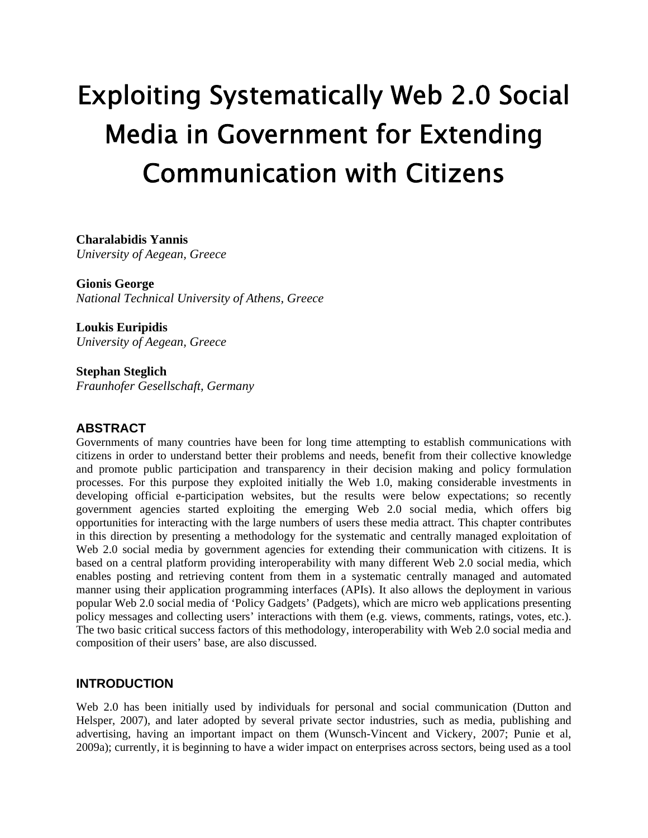# Exploiting Systematically Web 2.0 Social Media in Government for Extending Communication with Citizens

# **Charalabidis Yannis**

*University of Aegean, Greece* 

**Gionis George**  *National Technical University of Athens, Greece* 

**Loukis Euripidis**  *University of Aegean, Greece* 

**Stephan Steglich**  *Fraunhofer Gesellschaft, Germany*

# **ABSTRACT**

Governments of many countries have been for long time attempting to establish communications with citizens in order to understand better their problems and needs, benefit from their collective knowledge and promote public participation and transparency in their decision making and policy formulation processes. For this purpose they exploited initially the Web 1.0, making considerable investments in developing official e-participation websites, but the results were below expectations; so recently government agencies started exploiting the emerging Web 2.0 social media, which offers big opportunities for interacting with the large numbers of users these media attract. This chapter contributes in this direction by presenting a methodology for the systematic and centrally managed exploitation of Web 2.0 social media by government agencies for extending their communication with citizens. It is based on a central platform providing interoperability with many different Web 2.0 social media, which enables posting and retrieving content from them in a systematic centrally managed and automated manner using their application programming interfaces (APIs). It also allows the deployment in various popular Web 2.0 social media of 'Policy Gadgets' (Padgets), which are micro web applications presenting policy messages and collecting users' interactions with them (e.g. views, comments, ratings, votes, etc.). The two basic critical success factors of this methodology, interoperability with Web 2.0 social media and composition of their users' base, are also discussed.

# **INTRODUCTION**

Web 2.0 has been initially used by individuals for personal and social communication (Dutton and Helsper, 2007), and later adopted by several private sector industries, such as media, publishing and advertising, having an important impact on them (Wunsch-Vincent and Vickery, 2007; Punie et al, 2009a); currently, it is beginning to have a wider impact on enterprises across sectors, being used as a tool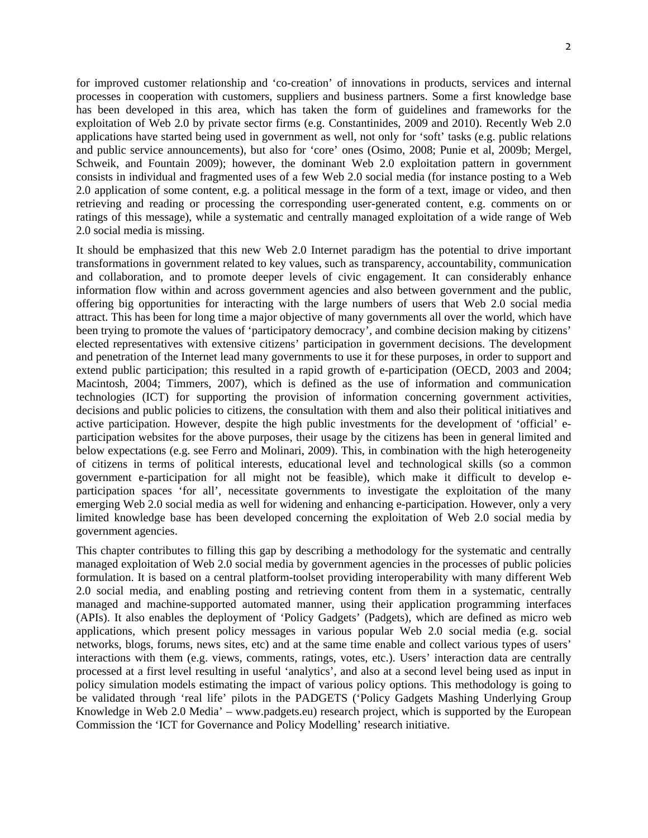for improved customer relationship and 'co-creation' of innovations in products, services and internal processes in cooperation with customers, suppliers and business partners. Some a first knowledge base has been developed in this area, which has taken the form of guidelines and frameworks for the exploitation of Web 2.0 by private sector firms (e.g. Constantinides, 2009 and 2010). Recently Web 2.0 applications have started being used in government as well, not only for 'soft' tasks (e.g. public relations and public service announcements), but also for 'core' ones (Osimo, 2008; Punie et al, 2009b; Mergel, Schweik, and Fountain 2009); however, the dominant Web 2.0 exploitation pattern in government consists in individual and fragmented uses of a few Web 2.0 social media (for instance posting to a Web 2.0 application of some content, e.g. a political message in the form of a text, image or video, and then retrieving and reading or processing the corresponding user-generated content, e.g. comments on or ratings of this message), while a systematic and centrally managed exploitation of a wide range of Web 2.0 social media is missing.

It should be emphasized that this new Web 2.0 Internet paradigm has the potential to drive important transformations in government related to key values, such as transparency, accountability, communication and collaboration, and to promote deeper levels of civic engagement. It can considerably enhance information flow within and across government agencies and also between government and the public, offering big opportunities for interacting with the large numbers of users that Web 2.0 social media attract. This has been for long time a major objective of many governments all over the world, which have been trying to promote the values of 'participatory democracy', and combine decision making by citizens' elected representatives with extensive citizens' participation in government decisions. The development and penetration of the Internet lead many governments to use it for these purposes, in order to support and extend public participation; this resulted in a rapid growth of e-participation (OECD, 2003 and 2004; Macintosh, 2004; Timmers, 2007), which is defined as the use of information and communication technologies (ICT) for supporting the provision of information concerning government activities, decisions and public policies to citizens, the consultation with them and also their political initiatives and active participation. However, despite the high public investments for the development of 'official' eparticipation websites for the above purposes, their usage by the citizens has been in general limited and below expectations (e.g. see Ferro and Molinari, 2009). This, in combination with the high heterogeneity of citizens in terms of political interests, educational level and technological skills (so a common government e-participation for all might not be feasible), which make it difficult to develop eparticipation spaces 'for all', necessitate governments to investigate the exploitation of the many emerging Web 2.0 social media as well for widening and enhancing e-participation. However, only a very limited knowledge base has been developed concerning the exploitation of Web 2.0 social media by government agencies.

This chapter contributes to filling this gap by describing a methodology for the systematic and centrally managed exploitation of Web 2.0 social media by government agencies in the processes of public policies formulation. It is based on a central platform-toolset providing interoperability with many different Web 2.0 social media, and enabling posting and retrieving content from them in a systematic, centrally managed and machine-supported automated manner, using their application programming interfaces (APIs). It also enables the deployment of 'Policy Gadgets' (Padgets), which are defined as micro web applications, which present policy messages in various popular Web 2.0 social media (e.g. social networks, blogs, forums, news sites, etc) and at the same time enable and collect various types of users' interactions with them (e.g. views, comments, ratings, votes, etc.). Users' interaction data are centrally processed at a first level resulting in useful 'analytics', and also at a second level being used as input in policy simulation models estimating the impact of various policy options. This methodology is going to be validated through 'real life' pilots in the PADGETS ('Policy Gadgets Mashing Underlying Group Knowledge in Web 2.0 Media' – www.padgets.eu) research project, which is supported by the European Commission the 'ICT for Governance and Policy Modelling' research initiative.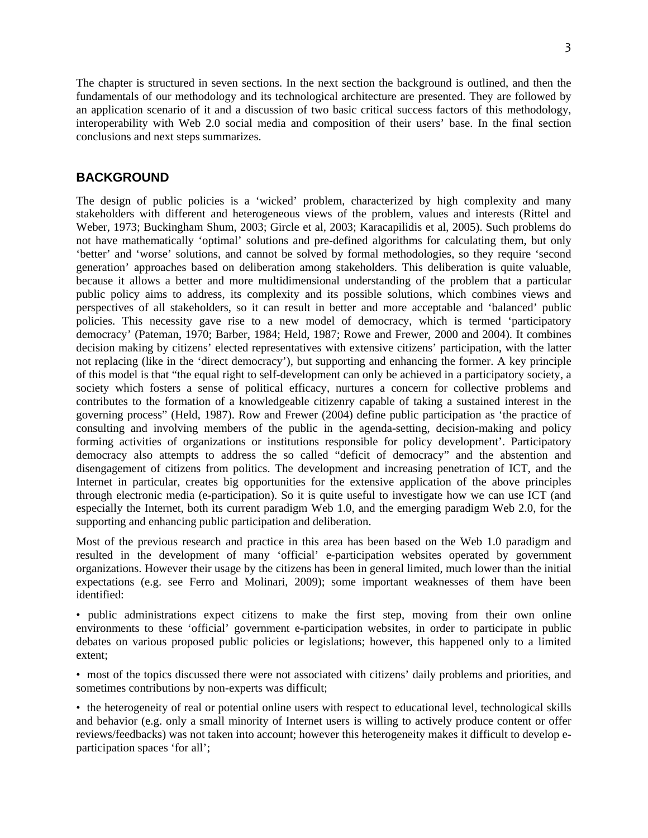The chapter is structured in seven sections. In the next section the background is outlined, and then the fundamentals of our methodology and its technological architecture are presented. They are followed by an application scenario of it and a discussion of two basic critical success factors of this methodology, interoperability with Web 2.0 social media and composition of their users' base. In the final section conclusions and next steps summarizes.

## **BACKGROUND**

The design of public policies is a 'wicked' problem, characterized by high complexity and many stakeholders with different and heterogeneous views of the problem, values and interests (Rittel and Weber, 1973; Buckingham Shum, 2003; Gircle et al, 2003; Karacapilidis et al, 2005). Such problems do not have mathematically 'optimal' solutions and pre-defined algorithms for calculating them, but only 'better' and 'worse' solutions, and cannot be solved by formal methodologies, so they require 'second generation' approaches based on deliberation among stakeholders. This deliberation is quite valuable, because it allows a better and more multidimensional understanding of the problem that a particular public policy aims to address, its complexity and its possible solutions, which combines views and perspectives of all stakeholders, so it can result in better and more acceptable and 'balanced' public policies. This necessity gave rise to a new model of democracy, which is termed 'participatory democracy' (Pateman, 1970; Barber, 1984; Held, 1987; Rowe and Frewer, 2000 and 2004). It combines decision making by citizens' elected representatives with extensive citizens' participation, with the latter not replacing (like in the 'direct democracy'), but supporting and enhancing the former. A key principle of this model is that "the equal right to self-development can only be achieved in a participatory society, a society which fosters a sense of political efficacy, nurtures a concern for collective problems and contributes to the formation of a knowledgeable citizenry capable of taking a sustained interest in the governing process" (Held, 1987). Row and Frewer (2004) define public participation as 'the practice of consulting and involving members of the public in the agenda-setting, decision-making and policy forming activities of organizations or institutions responsible for policy development'. Participatory democracy also attempts to address the so called "deficit of democracy" and the abstention and disengagement of citizens from politics. The development and increasing penetration of ICT, and the Internet in particular, creates big opportunities for the extensive application of the above principles through electronic media (e-participation). So it is quite useful to investigate how we can use ICT (and especially the Internet, both its current paradigm Web 1.0, and the emerging paradigm Web 2.0, for the supporting and enhancing public participation and deliberation.

Most of the previous research and practice in this area has been based on the Web 1.0 paradigm and resulted in the development of many 'official' e-participation websites operated by government organizations. However their usage by the citizens has been in general limited, much lower than the initial expectations (e.g. see Ferro and Molinari, 2009); some important weaknesses of them have been identified:

• public administrations expect citizens to make the first step, moving from their own online environments to these 'official' government e-participation websites, in order to participate in public debates on various proposed public policies or legislations; however, this happened only to a limited extent;

• most of the topics discussed there were not associated with citizens' daily problems and priorities, and sometimes contributions by non-experts was difficult;

• the heterogeneity of real or potential online users with respect to educational level, technological skills and behavior (e.g. only a small minority of Internet users is willing to actively produce content or offer reviews/feedbacks) was not taken into account; however this heterogeneity makes it difficult to develop eparticipation spaces 'for all';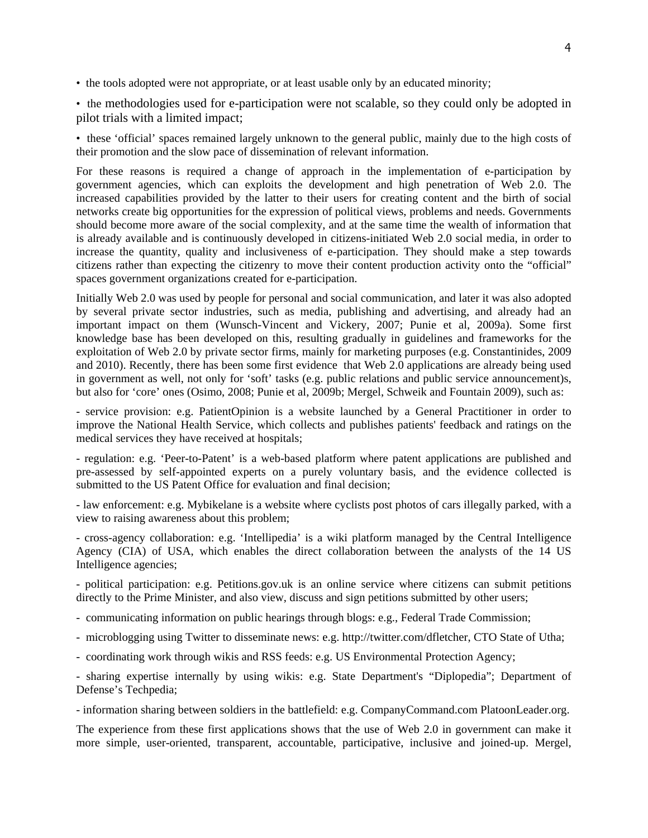• the tools adopted were not appropriate, or at least usable only by an educated minority;

• the methodologies used for e-participation were not scalable, so they could only be adopted in pilot trials with a limited impact;

• these 'official' spaces remained largely unknown to the general public, mainly due to the high costs of their promotion and the slow pace of dissemination of relevant information.

For these reasons is required a change of approach in the implementation of e-participation by government agencies, which can exploits the development and high penetration of Web 2.0. The increased capabilities provided by the latter to their users for creating content and the birth of social networks create big opportunities for the expression of political views, problems and needs. Governments should become more aware of the social complexity, and at the same time the wealth of information that is already available and is continuously developed in citizens-initiated Web 2.0 social media, in order to increase the quantity, quality and inclusiveness of e-participation. They should make a step towards citizens rather than expecting the citizenry to move their content production activity onto the "official" spaces government organizations created for e-participation.

Initially Web 2.0 was used by people for personal and social communication, and later it was also adopted by several private sector industries, such as media, publishing and advertising, and already had an important impact on them (Wunsch-Vincent and Vickery, 2007; Punie et al, 2009a). Some first knowledge base has been developed on this, resulting gradually in guidelines and frameworks for the exploitation of Web 2.0 by private sector firms, mainly for marketing purposes (e.g. Constantinides, 2009 and 2010). Recently, there has been some first evidence that Web 2.0 applications are already being used in government as well, not only for 'soft' tasks (e.g. public relations and public service announcement)s, but also for 'core' ones (Osimo, 2008; Punie et al, 2009b; Mergel, Schweik and Fountain 2009), such as:

- service provision: e.g. PatientOpinion is a website launched by a General Practitioner in order to improve the National Health Service, which collects and publishes patients' feedback and ratings on the medical services they have received at hospitals;

- regulation: e.g. 'Peer-to-Patent' is a web-based platform where patent applications are published and pre-assessed by self-appointed experts on a purely voluntary basis, and the evidence collected is submitted to the US Patent Office for evaluation and final decision:

- law enforcement: e.g. Mybikelane is a website where cyclists post photos of cars illegally parked, with a view to raising awareness about this problem;

- cross-agency collaboration: e.g. 'Intellipedia' is a wiki platform managed by the Central Intelligence Agency (CIA) of USA, which enables the direct collaboration between the analysts of the 14 US Intelligence agencies;

- political participation: e.g. Petitions.gov.uk is an online service where citizens can submit petitions directly to the Prime Minister, and also view, discuss and sign petitions submitted by other users;

- communicating information on public hearings through blogs: e.g., Federal Trade Commission;

- microblogging using Twitter to disseminate news: e.g. http://twitter.com/dfletcher, CTO State of Utha;
- coordinating work through wikis and RSS feeds: e.g. US Environmental Protection Agency;

- sharing expertise internally by using wikis: e.g. State Department's "Diplopedia"; Department of Defense's Techpedia;

- information sharing between soldiers in the battlefield: e.g. CompanyCommand.com PlatoonLeader.org.

The experience from these first applications shows that the use of Web 2.0 in government can make it more simple, user-oriented, transparent, accountable, participative, inclusive and joined-up. Mergel,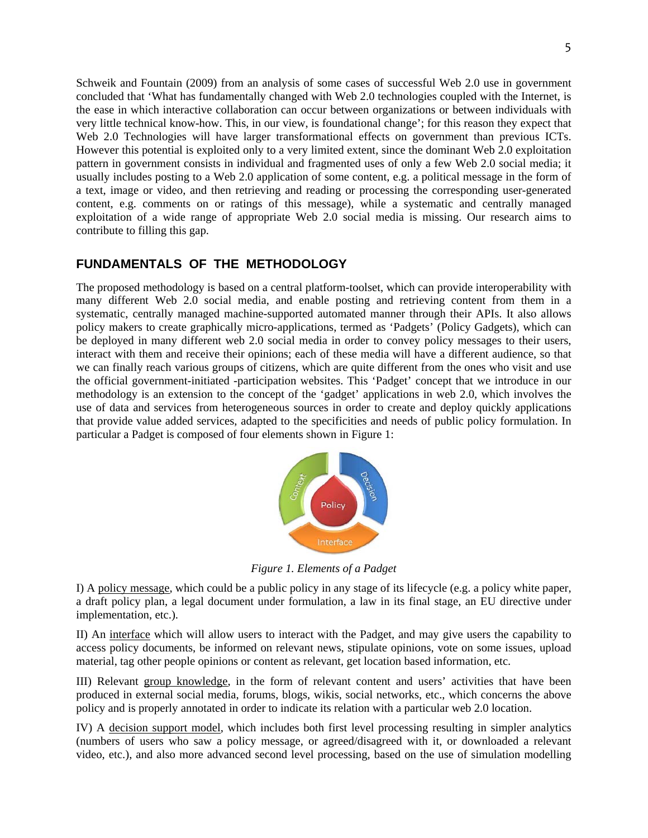Schweik and Fountain (2009) from an analysis of some cases of successful Web 2.0 use in government concluded that 'What has fundamentally changed with Web 2.0 technologies coupled with the Internet, is the ease in which interactive collaboration can occur between organizations or between individuals with very little technical know-how. This, in our view, is foundational change'; for this reason they expect that Web 2.0 Technologies will have larger transformational effects on government than previous ICTs. However this potential is exploited only to a very limited extent, since the dominant Web 2.0 exploitation pattern in government consists in individual and fragmented uses of only a few Web 2.0 social media; it usually includes posting to a Web 2.0 application of some content, e.g. a political message in the form of a text, image or video, and then retrieving and reading or processing the corresponding user-generated content, e.g. comments on or ratings of this message), while a systematic and centrally managed exploitation of a wide range of appropriate Web 2.0 social media is missing. Our research aims to contribute to filling this gap.

# **FUNDAMENTALS OF THE METHODOLOGY**

The proposed methodology is based on a central platform-toolset, which can provide interoperability with many different Web 2.0 social media, and enable posting and retrieving content from them in a systematic, centrally managed machine-supported automated manner through their APIs. It also allows policy makers to create graphically micro-applications, termed as 'Padgets' (Policy Gadgets), which can be deployed in many different web 2.0 social media in order to convey policy messages to their users, interact with them and receive their opinions; each of these media will have a different audience, so that we can finally reach various groups of citizens, which are quite different from the ones who visit and use the official government-initiated -participation websites. This 'Padget' concept that we introduce in our methodology is an extension to the concept of the 'gadget' applications in web 2.0, which involves the use of data and services from heterogeneous sources in order to create and deploy quickly applications that provide value added services, adapted to the specificities and needs of public policy formulation. In particular a Padget is composed of four elements shown in Figure 1:



*Figure 1. Elements of a Padget*

I) A policy message, which could be a public policy in any stage of its lifecycle (e.g. a policy white paper, a draft policy plan, a legal document under formulation, a law in its final stage, an EU directive under implementation, etc.).

II) An interface which will allow users to interact with the Padget, and may give users the capability to access policy documents, be informed on relevant news, stipulate opinions, vote on some issues, upload material, tag other people opinions or content as relevant, get location based information, etc.

III) Relevant group knowledge, in the form of relevant content and users' activities that have been produced in external social media, forums, blogs, wikis, social networks, etc., which concerns the above policy and is properly annotated in order to indicate its relation with a particular web 2.0 location.

IV) A decision support model, which includes both first level processing resulting in simpler analytics (numbers of users who saw a policy message, or agreed/disagreed with it, or downloaded a relevant video, etc.), and also more advanced second level processing, based on the use of simulation modelling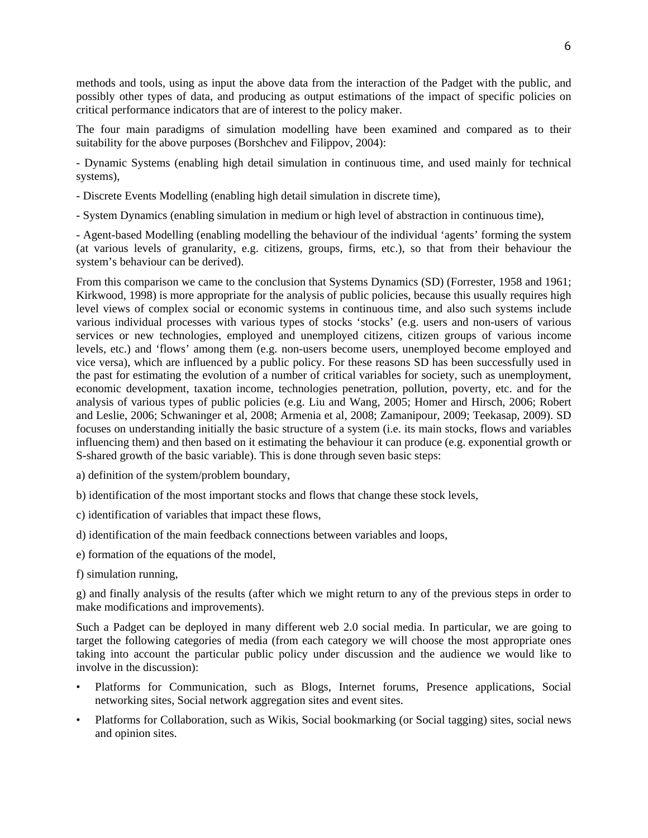methods and tools, using as input the above data from the interaction of the Padget with the public, and possibly other types of data, and producing as output estimations of the impact of specific policies on critical performance indicators that are of interest to the policy maker.

The four main paradigms of simulation modelling have been examined and compared as to their suitability for the above purposes (Borshchev and Filippov, 2004):

- Dynamic Systems (enabling high detail simulation in continuous time, and used mainly for technical systems),

- Discrete Events Modelling (enabling high detail simulation in discrete time),

- System Dynamics (enabling simulation in medium or high level of abstraction in continuous time),

- Agent-based Modelling (enabling modelling the behaviour of the individual 'agents' forming the system (at various levels of granularity, e.g. citizens, groups, firms, etc.), so that from their behaviour the system's behaviour can be derived).

From this comparison we came to the conclusion that Systems Dynamics (SD) (Forrester, 1958 and 1961; Kirkwood, 1998) is more appropriate for the analysis of public policies, because this usually requires high level views of complex social or economic systems in continuous time, and also such systems include various individual processes with various types of stocks 'stocks' (e.g. users and non-users of various services or new technologies, employed and unemployed citizens, citizen groups of various income levels, etc.) and 'flows' among them (e.g. non-users become users, unemployed become employed and vice versa), which are influenced by a public policy. For these reasons SD has been successfully used in the past for estimating the evolution of a number of critical variables for society, such as unemployment, economic development, taxation income, technologies penetration, pollution, poverty, etc. and for the analysis of various types of public policies (e.g. Liu and Wang, 2005; Homer and Hirsch, 2006; Robert and Leslie, 2006; Schwaninger et al, 2008; Armenia et al, 2008; Zamanipour, 2009; Teekasap, 2009). SD focuses on understanding initially the basic structure of a system (i.e. its main stocks, flows and variables influencing them) and then based on it estimating the behaviour it can produce (e.g. exponential growth or S-shared growth of the basic variable). This is done through seven basic steps:

- a) definition of the system/problem boundary,
- b) identification of the most important stocks and flows that change these stock levels,
- c) identification of variables that impact these flows,
- d) identification of the main feedback connections between variables and loops,
- e) formation of the equations of the model,
- f) simulation running,

g) and finally analysis of the results (after which we might return to any of the previous steps in order to make modifications and improvements).

Such a Padget can be deployed in many different web 2.0 social media. In particular, we are going to target the following categories of media (from each category we will choose the most appropriate ones taking into account the particular public policy under discussion and the audience we would like to involve in the discussion):

- Platforms for Communication, such as Blogs, Internet forums, Presence applications, Social networking sites, Social network aggregation sites and event sites.
- Platforms for Collaboration, such as Wikis, Social bookmarking (or Social tagging) sites, social news and opinion sites.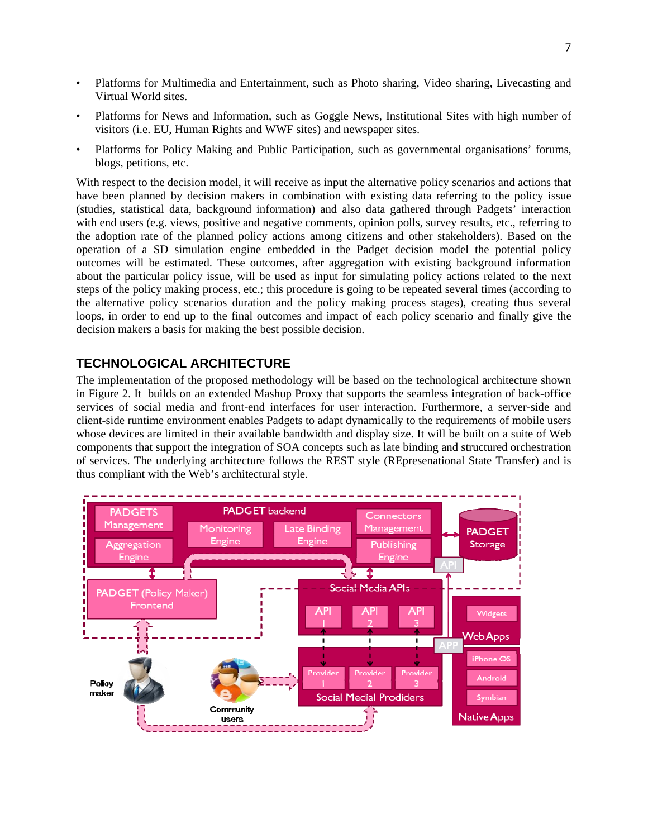- Platforms for Multimedia and Entertainment, such as Photo sharing, Video sharing, Livecasting and Virtual World sites.
- Platforms for News and Information, such as Goggle News, Institutional Sites with high number of visitors (i.e. EU, Human Rights and WWF sites) and newspaper sites.
- Platforms for Policy Making and Public Participation, such as governmental organisations' forums, blogs, petitions, etc.

With respect to the decision model, it will receive as input the alternative policy scenarios and actions that have been planned by decision makers in combination with existing data referring to the policy issue (studies, statistical data, background information) and also data gathered through Padgets' interaction with end users (e.g. views, positive and negative comments, opinion polls, survey results, etc., referring to the adoption rate of the planned policy actions among citizens and other stakeholders). Based on the operation of a SD simulation engine embedded in the Padget decision model the potential policy outcomes will be estimated. These outcomes, after aggregation with existing background information about the particular policy issue, will be used as input for simulating policy actions related to the next steps of the policy making process, etc.; this procedure is going to be repeated several times (according to the alternative policy scenarios duration and the policy making process stages), creating thus several loops, in order to end up to the final outcomes and impact of each policy scenario and finally give the decision makers a basis for making the best possible decision.

# **TECHNOLOGICAL ARCHITECTURE**

The implementation of the proposed methodology will be based on the technological architecture shown in Figure 2. It builds on an extended Mashup Proxy that supports the seamless integration of back-office services of social media and front-end interfaces for user interaction. Furthermore, a server-side and client-side runtime environment enables Padgets to adapt dynamically to the requirements of mobile users whose devices are limited in their available bandwidth and display size. It will be built on a suite of Web components that support the integration of SOA concepts such as late binding and structured orchestration of services. The underlying architecture follows the REST style (REpresenational State Transfer) and is thus compliant with the Web's architectural style.

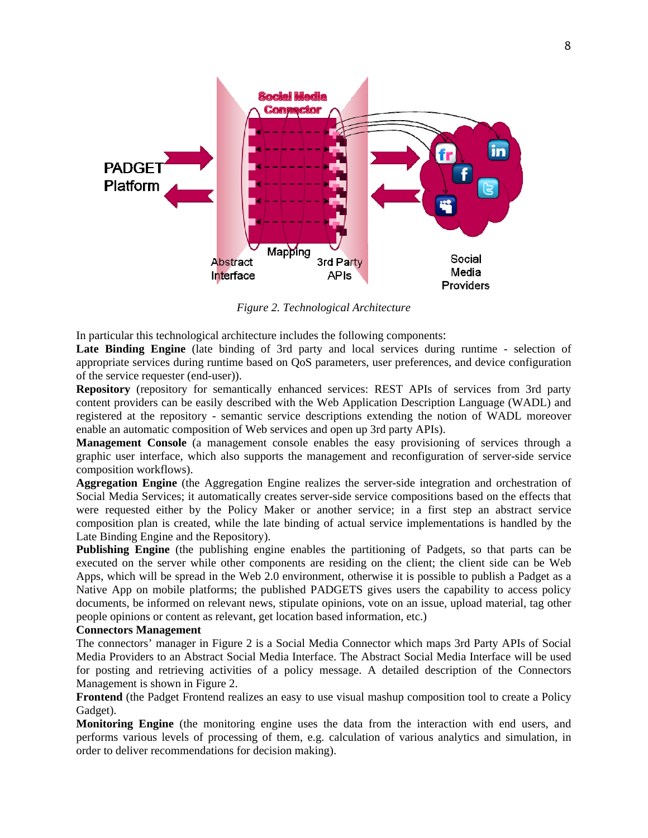

*Figure 2. Technological Architecture*

In particular this technological architecture includes the following components:

Late Binding Engine (late binding of 3rd party and local services during runtime - selection of appropriate services during runtime based on QoS parameters, user preferences, and device configuration of the service requester (end-user)).

**Repository** (repository for semantically enhanced services: REST APIs of services from 3rd party content providers can be easily described with the Web Application Description Language (WADL) and registered at the repository - semantic service descriptions extending the notion of WADL moreover enable an automatic composition of Web services and open up 3rd party APIs).

**Management Console** (a management console enables the easy provisioning of services through a graphic user interface, which also supports the management and reconfiguration of server-side service composition workflows).

**Aggregation Engine** (the Aggregation Engine realizes the server-side integration and orchestration of Social Media Services; it automatically creates server-side service compositions based on the effects that were requested either by the Policy Maker or another service; in a first step an abstract service composition plan is created, while the late binding of actual service implementations is handled by the Late Binding Engine and the Repository).

**Publishing Engine** (the publishing engine enables the partitioning of Padgets, so that parts can be executed on the server while other components are residing on the client; the client side can be Web Apps, which will be spread in the Web 2.0 environment, otherwise it is possible to publish a Padget as a Native App on mobile platforms; the published PADGETS gives users the capability to access policy documents, be informed on relevant news, stipulate opinions, vote on an issue, upload material, tag other people opinions or content as relevant, get location based information, etc.)

#### **Connectors Management**

The connectors' manager in Figure 2 is a Social Media Connector which maps 3rd Party APIs of Social Media Providers to an Abstract Social Media Interface. The Abstract Social Media Interface will be used for posting and retrieving activities of a policy message. A detailed description of the Connectors Management is shown in Figure 2.

**Frontend** (the Padget Frontend realizes an easy to use visual mashup composition tool to create a Policy Gadget).

**Monitoring Engine** (the monitoring engine uses the data from the interaction with end users, and performs various levels of processing of them, e.g. calculation of various analytics and simulation, in order to deliver recommendations for decision making).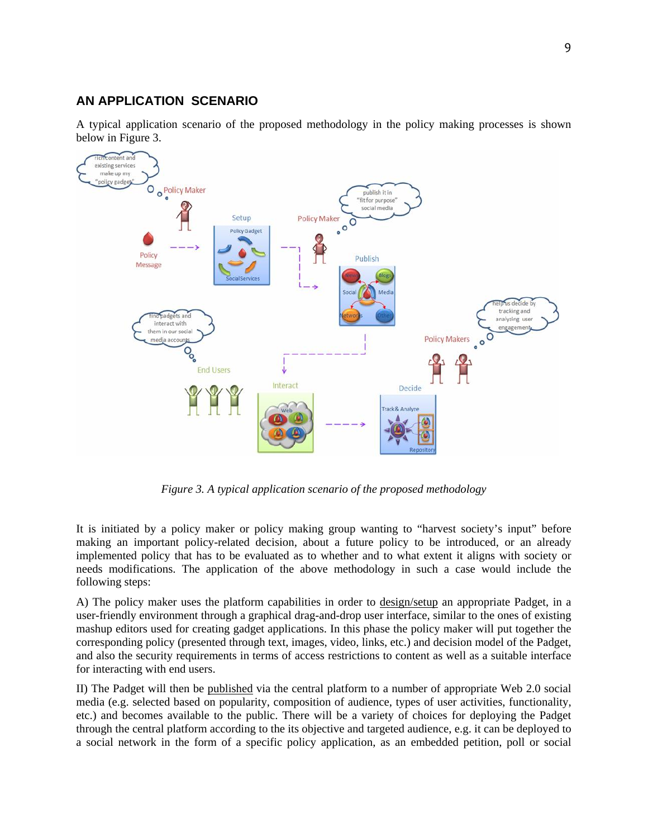# **AN APPLICATION SCENARIO**

A typical application scenario of the proposed methodology in the policy making processes is shown below in Figure 3.



*Figure 3. A typical application scenario of the proposed methodology*

It is initiated by a policy maker or policy making group wanting to "harvest society's input" before making an important policy-related decision, about a future policy to be introduced, or an already implemented policy that has to be evaluated as to whether and to what extent it aligns with society or needs modifications. The application of the above methodology in such a case would include the following steps:

A) The policy maker uses the platform capabilities in order to design/setup an appropriate Padget, in a user-friendly environment through a graphical drag-and-drop user interface, similar to the ones of existing mashup editors used for creating gadget applications. In this phase the policy maker will put together the corresponding policy (presented through text, images, video, links, etc.) and decision model of the Padget, and also the security requirements in terms of access restrictions to content as well as a suitable interface for interacting with end users.

II) The Padget will then be published via the central platform to a number of appropriate Web 2.0 social media (e.g. selected based on popularity, composition of audience, types of user activities, functionality, etc.) and becomes available to the public. There will be a variety of choices for deploying the Padget through the central platform according to the its objective and targeted audience, e.g. it can be deployed to a social network in the form of a specific policy application, as an embedded petition, poll or social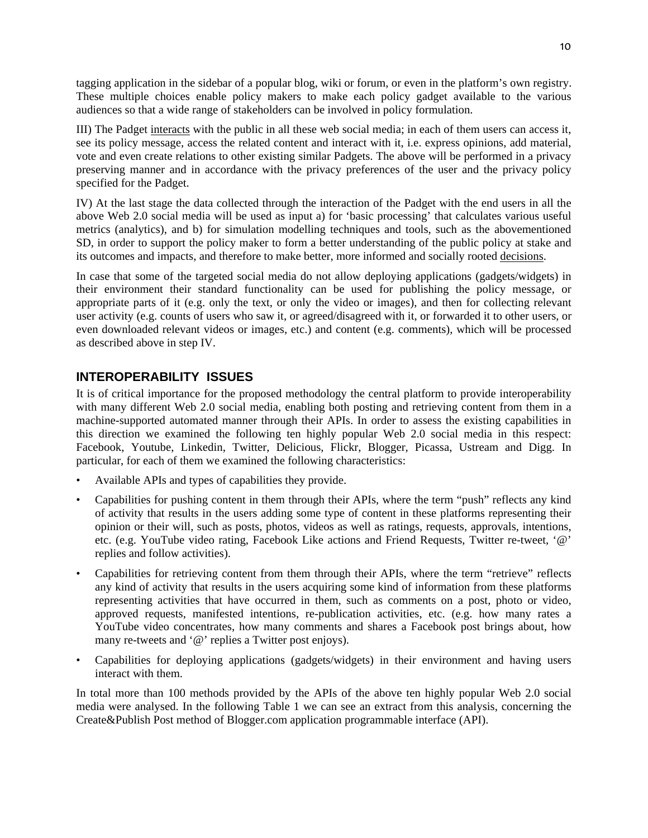tagging application in the sidebar of a popular blog, wiki or forum, or even in the platform's own registry. These multiple choices enable policy makers to make each policy gadget available to the various audiences so that a wide range of stakeholders can be involved in policy formulation.

III) The Padget interacts with the public in all these web social media; in each of them users can access it, see its policy message, access the related content and interact with it, i.e. express opinions, add material, vote and even create relations to other existing similar Padgets. The above will be performed in a privacy preserving manner and in accordance with the privacy preferences of the user and the privacy policy specified for the Padget.

IV) At the last stage the data collected through the interaction of the Padget with the end users in all the above Web 2.0 social media will be used as input a) for 'basic processing' that calculates various useful metrics (analytics), and b) for simulation modelling techniques and tools, such as the abovementioned SD, in order to support the policy maker to form a better understanding of the public policy at stake and its outcomes and impacts, and therefore to make better, more informed and socially rooted decisions.

In case that some of the targeted social media do not allow deploying applications (gadgets/widgets) in their environment their standard functionality can be used for publishing the policy message, or appropriate parts of it (e.g. only the text, or only the video or images), and then for collecting relevant user activity (e.g. counts of users who saw it, or agreed/disagreed with it, or forwarded it to other users, or even downloaded relevant videos or images, etc.) and content (e.g. comments), which will be processed as described above in step IV.

# **INTEROPERABILITY ISSUES**

It is of critical importance for the proposed methodology the central platform to provide interoperability with many different Web 2.0 social media, enabling both posting and retrieving content from them in a machine-supported automated manner through their APIs. In order to assess the existing capabilities in this direction we examined the following ten highly popular Web 2.0 social media in this respect: Facebook, Youtube, Linkedin, Twitter, Delicious, Flickr, Blogger, Picassa, Ustream and Digg. In particular, for each of them we examined the following characteristics:

- Available APIs and types of capabilities they provide.
- Capabilities for pushing content in them through their APIs, where the term "push" reflects any kind of activity that results in the users adding some type of content in these platforms representing their opinion or their will, such as posts, photos, videos as well as ratings, requests, approvals, intentions, etc. (e.g. YouTube video rating, Facebook Like actions and Friend Requests, Twitter re-tweet, '@' replies and follow activities).
- Capabilities for retrieving content from them through their APIs, where the term "retrieve" reflects any kind of activity that results in the users acquiring some kind of information from these platforms representing activities that have occurred in them, such as comments on a post, photo or video, approved requests, manifested intentions, re-publication activities, etc. (e.g. how many rates a YouTube video concentrates, how many comments and shares a Facebook post brings about, how many re-tweets and '@' replies a Twitter post enjoys).
- Capabilities for deploying applications (gadgets/widgets) in their environment and having users interact with them.

In total more than 100 methods provided by the APIs of the above ten highly popular Web 2.0 social media were analysed. In the following Table 1 we can see an extract from this analysis, concerning the Create&Publish Post method of Blogger.com application programmable interface (API).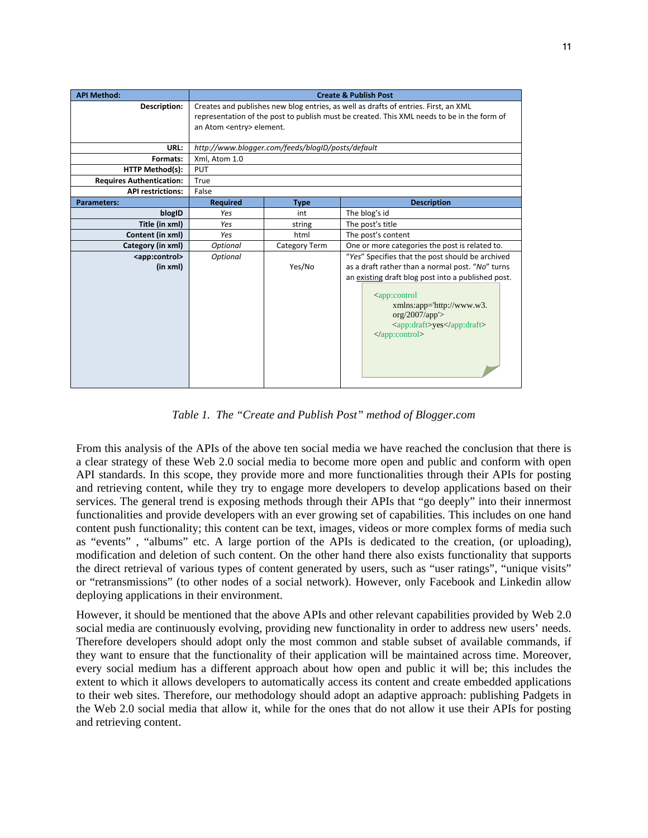| <b>API Method:</b>              | <b>Create &amp; Publish Post</b>                                                                                               |               |                                                                                                                                                         |
|---------------------------------|--------------------------------------------------------------------------------------------------------------------------------|---------------|---------------------------------------------------------------------------------------------------------------------------------------------------------|
| Description:                    | Creates and publishes new blog entries, as well as drafts of entries. First, an XML                                            |               |                                                                                                                                                         |
|                                 | representation of the post to publish must be created. This XML needs to be in the form of<br>an Atom <entry> element.</entry> |               |                                                                                                                                                         |
|                                 |                                                                                                                                |               |                                                                                                                                                         |
| URL:                            | http://www.blogger.com/feeds/blogID/posts/default                                                                              |               |                                                                                                                                                         |
| Formats:                        | Xml, Atom 1.0                                                                                                                  |               |                                                                                                                                                         |
| <b>HTTP Method(s):</b>          | <b>PUT</b>                                                                                                                     |               |                                                                                                                                                         |
| <b>Requires Authentication:</b> | True                                                                                                                           |               |                                                                                                                                                         |
| <b>API restrictions:</b>        | False                                                                                                                          |               |                                                                                                                                                         |
| <b>Parameters:</b>              | <b>Required</b>                                                                                                                | <b>Type</b>   | <b>Description</b>                                                                                                                                      |
| blogID                          | Yes                                                                                                                            | int           | The blog's id                                                                                                                                           |
| Title (in xml)                  | Yes                                                                                                                            | string        | The post's title                                                                                                                                        |
| Content (in xml)                | Yes                                                                                                                            | html          | The post's content                                                                                                                                      |
| Category (in xml)               | Optional                                                                                                                       | Category Term | One or more categories the post is related to.                                                                                                          |
| <app:control></app:control>     | Optional                                                                                                                       |               | "Yes" Specifies that the post should be archived                                                                                                        |
| (in xml)                        |                                                                                                                                | Yes/No        | as a draft rather than a normal post. "No" turns                                                                                                        |
|                                 |                                                                                                                                |               | an existing draft blog post into a published post.                                                                                                      |
|                                 |                                                                                                                                |               | <app:control<br>xmlns:app='http://www.w3.<br/>org/2007/app'&gt;<br/><app:draft>yes</app:draft><br/><math>\langle</math>app:control&gt;</app:control<br> |

*Table 1. The "Create and Publish Post" method of Blogger.com* 

From this analysis of the APIs of the above ten social media we have reached the conclusion that there is a clear strategy of these Web 2.0 social media to become more open and public and conform with open API standards. In this scope, they provide more and more functionalities through their APIs for posting and retrieving content, while they try to engage more developers to develop applications based on their services. The general trend is exposing methods through their APIs that "go deeply" into their innermost functionalities and provide developers with an ever growing set of capabilities. This includes on one hand content push functionality; this content can be text, images, videos or more complex forms of media such as "events" , "albums" etc. A large portion of the APIs is dedicated to the creation, (or uploading), modification and deletion of such content. On the other hand there also exists functionality that supports the direct retrieval of various types of content generated by users, such as "user ratings", "unique visits" or "retransmissions" (to other nodes of a social network). However, only Facebook and Linkedin allow deploying applications in their environment.

However, it should be mentioned that the above APIs and other relevant capabilities provided by Web 2.0 social media are continuously evolving, providing new functionality in order to address new users' needs. Therefore developers should adopt only the most common and stable subset of available commands, if they want to ensure that the functionality of their application will be maintained across time. Moreover, every social medium has a different approach about how open and public it will be; this includes the extent to which it allows developers to automatically access its content and create embedded applications to their web sites. Therefore, our methodology should adopt an adaptive approach: publishing Padgets in the Web 2.0 social media that allow it, while for the ones that do not allow it use their APIs for posting and retrieving content.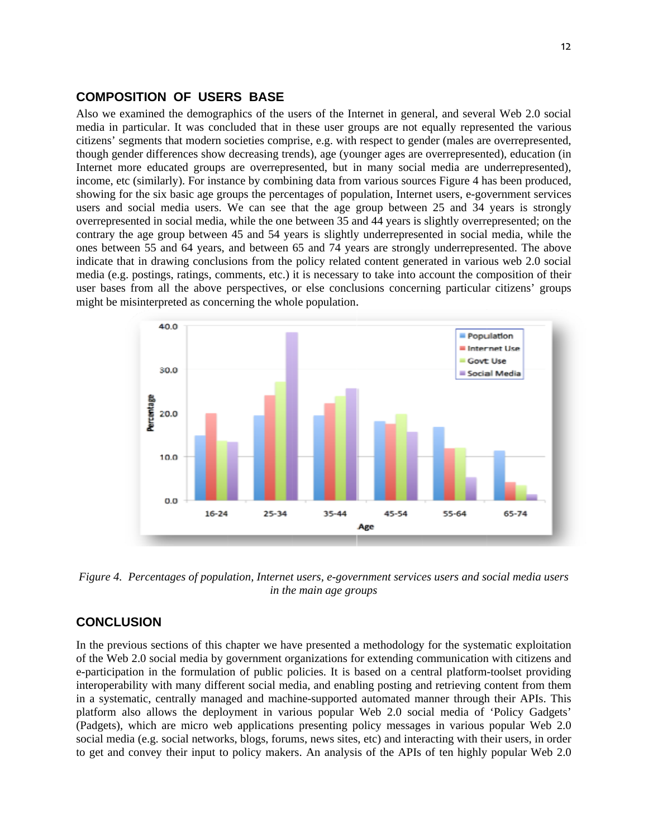## **COMPOSITION OF USERS BASE**

Also we examined the demographics of the users of the Internet in general, and several Web 2.0 social media in particular. It was concluded that in these user groups are not equally represented the various citizens' segments that modern societies comprise, e.g. with respect to gender (males are overrepresented, though gender differences show decreasing trends), age (younger ages are overrepresented), education (in Internet more educated groups are overrepresented, but in many social media are underrepresented), income, etc (similarly). For instance by combining data from various sources Figure 4 has been produced, showing for the six basic age groups the percentages of population, Internet users, e-government services users and social media users. We can see that the age group between 25 and 34 years is strongly overrepresented in social media, while the one between 35 and 44 years is slightly overrepresented; on the contrary the age group between 45 and 54 years is slightly underrepresented in social media, while the ones between 55 and 64 years, and between 65 and 74 years are strongly underrepresented. The above indicate that in drawing conclusions from the policy related content generated in various web 2.0 social media (e.g. postings, ratings, comments, etc.) it is necessary to take into account the composition of their user bases from all the above perspectives, or else conclusions concerning particular citizens' groups might be misinterpreted as concerning the whole population.



*Figure 4. Percentages of population, Internet users, e-government services users and social media users in the main age groups* 

# **CONCLUSION**

In the previous sections of this chapter we have presented a methodology for the systematic exploitation of the Web 2.0 social media by government organizations for extending communication with citizens and e-participation in the formulation of public policies. It is based on a central platform-toolset providing interoperability with many different social media, and enabling posting and retrieving content from them in a systematic, centrally managed and machine-supported automated manner through their APIs. This platform also allows the deployment in various popular Web 2.0 social media of 'Policy Gadgets' (Padgets), which are micro web applications presenting policy messages in various popular Web 2.0 social media (e.g. social networks, blogs, forums, news sites, etc) and interacting with their users, in order to get and convey their input to policy makers. An analysis of the APIs of ten highly popular Web 2.0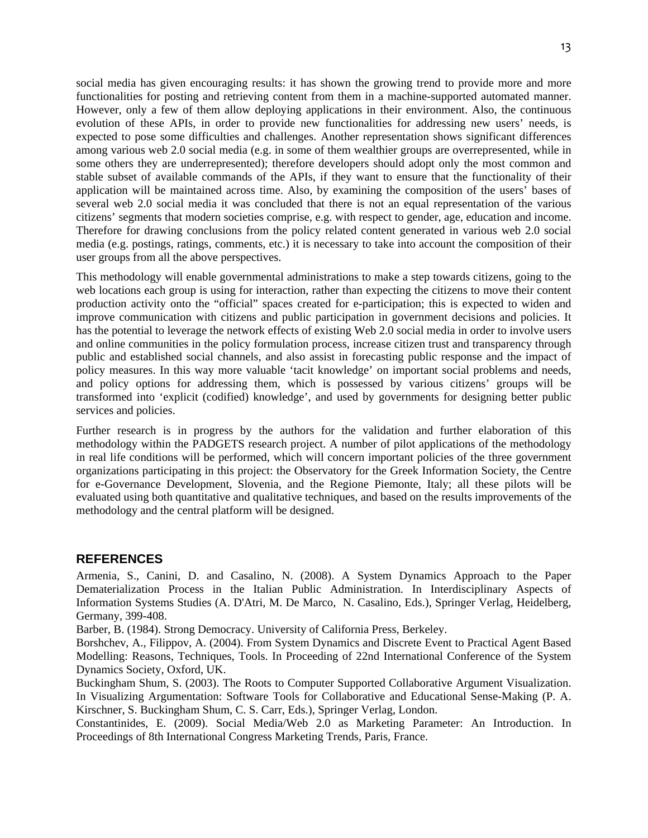social media has given encouraging results: it has shown the growing trend to provide more and more functionalities for posting and retrieving content from them in a machine-supported automated manner. However, only a few of them allow deploying applications in their environment. Also, the continuous evolution of these APIs, in order to provide new functionalities for addressing new users' needs, is expected to pose some difficulties and challenges. Another representation shows significant differences among various web 2.0 social media (e.g. in some of them wealthier groups are overrepresented, while in some others they are underrepresented); therefore developers should adopt only the most common and stable subset of available commands of the APIs, if they want to ensure that the functionality of their application will be maintained across time. Also, by examining the composition of the users' bases of several web 2.0 social media it was concluded that there is not an equal representation of the various citizens' segments that modern societies comprise, e.g. with respect to gender, age, education and income. Therefore for drawing conclusions from the policy related content generated in various web 2.0 social media (e.g. postings, ratings, comments, etc.) it is necessary to take into account the composition of their user groups from all the above perspectives.

This methodology will enable governmental administrations to make a step towards citizens, going to the web locations each group is using for interaction, rather than expecting the citizens to move their content production activity onto the "official" spaces created for e-participation; this is expected to widen and improve communication with citizens and public participation in government decisions and policies. It has the potential to leverage the network effects of existing Web 2.0 social media in order to involve users and online communities in the policy formulation process, increase citizen trust and transparency through public and established social channels, and also assist in forecasting public response and the impact of policy measures. In this way more valuable 'tacit knowledge' on important social problems and needs, and policy options for addressing them, which is possessed by various citizens' groups will be transformed into 'explicit (codified) knowledge', and used by governments for designing better public services and policies.

Further research is in progress by the authors for the validation and further elaboration of this methodology within the PADGETS research project. A number of pilot applications of the methodology in real life conditions will be performed, which will concern important policies of the three government organizations participating in this project: the Observatory for the Greek Information Society, the Centre for e-Governance Development, Slovenia, and the Regione Piemonte, Italy; all these pilots will be evaluated using both quantitative and qualitative techniques, and based on the results improvements of the methodology and the central platform will be designed.

#### **REFERENCES**

Armenia, S., Canini, D. and Casalino, N. (2008). A System Dynamics Approach to the Paper Dematerialization Process in the Italian Public Administration. In Interdisciplinary Aspects of Information Systems Studies (A. D'Atri, M. De Marco, N. Casalino, Eds.), Springer Verlag, Heidelberg, Germany, 399-408.

Barber, B. (1984). Strong Democracy. University of California Press, Berkeley.

Borshchev, A., Filippov, A. (2004). From System Dynamics and Discrete Event to Practical Agent Based Modelling: Reasons, Techniques, Tools. In Proceeding of 22nd International Conference of the System Dynamics Society, Oxford, UK.

Buckingham Shum, S. (2003). The Roots to Computer Supported Collaborative Argument Visualization. In Visualizing Argumentation: Software Tools for Collaborative and Educational Sense-Making (P. A. Kirschner, S. Buckingham Shum, C. S. Carr, Eds.), Springer Verlag, London.

Constantinides, E. (2009). Social Media/Web 2.0 as Marketing Parameter: An Introduction. In Proceedings of 8th International Congress Marketing Trends, Paris, France.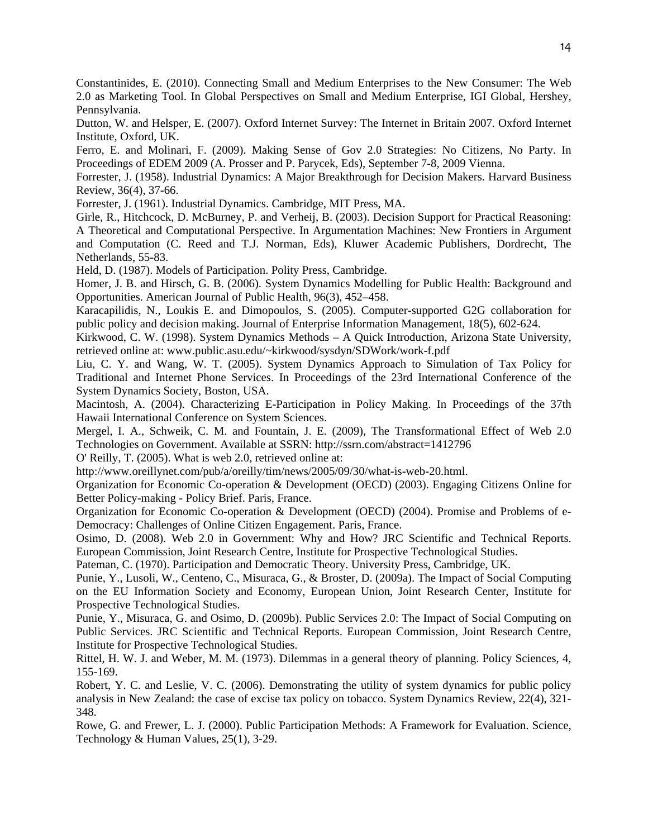Constantinides, E. (2010). Connecting Small and Medium Enterprises to the New Consumer: The Web 2.0 as Marketing Tool. In Global Perspectives on Small and Medium Enterprise, IGI Global, Hershey, Pennsylvania.

Dutton, W. and Helsper, E. (2007). Oxford Internet Survey: The Internet in Britain 2007. Oxford Internet Institute, Oxford, UK.

Ferro, E. and Molinari, F. (2009). Making Sense of Gov 2.0 Strategies: No Citizens, No Party. In Proceedings of EDEM 2009 (A. Prosser and P. Parycek, Eds), September 7-8, 2009 Vienna.

Forrester, J. (1958). Industrial Dynamics: A Major Breakthrough for Decision Makers. Harvard Business Review, 36(4), 37-66.

Forrester, J. (1961). Industrial Dynamics. Cambridge, MIT Press, MA.

Girle, R., Hitchcock, D. McBurney, P. and Verheij, B. (2003). Decision Support for Practical Reasoning: A Theoretical and Computational Perspective. In Argumentation Machines: New Frontiers in Argument and Computation (C. Reed and T.J. Norman, Eds), Kluwer Academic Publishers, Dordrecht, The Netherlands, 55-83.

Held, D. (1987). Models of Participation. Polity Press, Cambridge.

Homer, J. B. and Hirsch, G. B. (2006). System Dynamics Modelling for Public Health: Background and Opportunities. American Journal of Public Health, 96(3), 452–458.

Karacapilidis, N., Loukis E. and Dimopoulos, S. (2005). Computer-supported G2G collaboration for public policy and decision making. Journal of Enterprise Information Management, 18(5), 602-624.

Kirkwood, C. W. (1998). System Dynamics Methods – A Quick Introduction, Arizona State University, retrieved online at: www.public.asu.edu/~kirkwood/sysdyn/SDWork/work-f.pdf

Liu, C. Y. and Wang, W. T. (2005). System Dynamics Approach to Simulation of Tax Policy for Traditional and Internet Phone Services. In Proceedings of the 23rd International Conference of the System Dynamics Society, Boston, USA.

Macintosh, A. (2004). Characterizing E-Participation in Policy Making. In Proceedings of the 37th Hawaii International Conference on System Sciences.

Mergel, I. A., Schweik, C. M. and Fountain, J. E. (2009), The Transformational Effect of Web 2.0 Technologies on Government. Available at SSRN: http://ssrn.com/abstract=1412796

O' Reilly, T. (2005). What is web 2.0, retrieved online at:

http://www.oreillynet.com/pub/a/oreilly/tim/news/2005/09/30/what-is-web-20.html.

Organization for Economic Co-operation & Development (OECD) (2003). Engaging Citizens Online for Better Policy-making - Policy Brief. Paris, France.

Organization for Economic Co-operation & Development (OECD) (2004). Promise and Problems of e-Democracy: Challenges of Online Citizen Engagement. Paris, France.

Osimo, D. (2008). Web 2.0 in Government: Why and How? JRC Scientific and Technical Reports. European Commission, Joint Research Centre, Institute for Prospective Technological Studies.

Pateman, C. (1970). Participation and Democratic Theory. University Press, Cambridge, UK.

Punie, Y., Lusoli, W., Centeno, C., Misuraca, G., & Broster, D. (2009a). The Impact of Social Computing on the EU Information Society and Economy, European Union, Joint Research Center, Institute for Prospective Technological Studies.

Punie, Y., Misuraca, G. and Osimo, D. (2009b). Public Services 2.0: The Impact of Social Computing on Public Services. JRC Scientific and Technical Reports. European Commission, Joint Research Centre, Institute for Prospective Technological Studies.

Rittel, H. W. J. and Weber, M. M. (1973). Dilemmas in a general theory of planning. Policy Sciences, 4, 155-169.

Robert, Y. C. and Leslie, V. C. (2006). Demonstrating the utility of system dynamics for public policy analysis in New Zealand: the case of excise tax policy on tobacco. System Dynamics Review, 22(4), 321- 348.

Rowe, G. and Frewer, L. J. (2000). Public Participation Methods: A Framework for Evaluation. Science, Technology & Human Values, 25(1), 3-29.